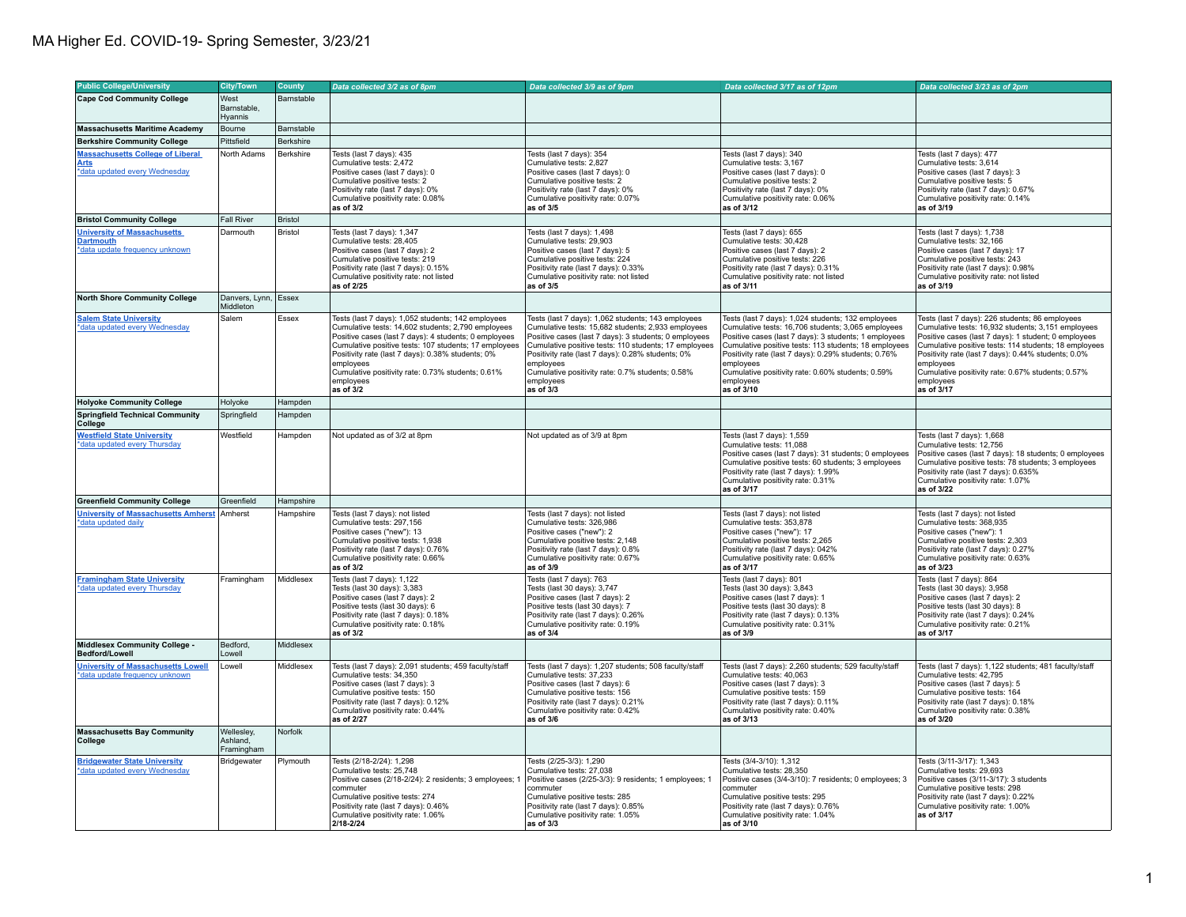| <b>Public College/University</b>                                                         | <b>City/Town</b>                     | County         | Data collected 3/2 as of 8pm                                                                                                                                                                                                                                                                                                                                                | Data collected 3/9 as of 9pm                                                                                                                                                                                                                                                                                                                                               | Data collected 3/17 as of 12pm                                                                                                                                                                                                                                                                                                                                                  | Data collected 3/23 as of 2pm                                                                                                                                                                                                                                                                                                                                              |
|------------------------------------------------------------------------------------------|--------------------------------------|----------------|-----------------------------------------------------------------------------------------------------------------------------------------------------------------------------------------------------------------------------------------------------------------------------------------------------------------------------------------------------------------------------|----------------------------------------------------------------------------------------------------------------------------------------------------------------------------------------------------------------------------------------------------------------------------------------------------------------------------------------------------------------------------|---------------------------------------------------------------------------------------------------------------------------------------------------------------------------------------------------------------------------------------------------------------------------------------------------------------------------------------------------------------------------------|----------------------------------------------------------------------------------------------------------------------------------------------------------------------------------------------------------------------------------------------------------------------------------------------------------------------------------------------------------------------------|
| <b>Cape Cod Community College</b>                                                        | West                                 | Barnstable     |                                                                                                                                                                                                                                                                                                                                                                             |                                                                                                                                                                                                                                                                                                                                                                            |                                                                                                                                                                                                                                                                                                                                                                                 |                                                                                                                                                                                                                                                                                                                                                                            |
|                                                                                          | Barnstable.<br>Hyannis               |                |                                                                                                                                                                                                                                                                                                                                                                             |                                                                                                                                                                                                                                                                                                                                                                            |                                                                                                                                                                                                                                                                                                                                                                                 |                                                                                                                                                                                                                                                                                                                                                                            |
| <b>Massachusetts Maritime Academy</b>                                                    | Bourne                               | Barnstable     |                                                                                                                                                                                                                                                                                                                                                                             |                                                                                                                                                                                                                                                                                                                                                                            |                                                                                                                                                                                                                                                                                                                                                                                 |                                                                                                                                                                                                                                                                                                                                                                            |
| <b>Berkshire Community College</b>                                                       | Pittsfield                           | Berkshire      |                                                                                                                                                                                                                                                                                                                                                                             |                                                                                                                                                                                                                                                                                                                                                                            |                                                                                                                                                                                                                                                                                                                                                                                 |                                                                                                                                                                                                                                                                                                                                                                            |
| <b>Massachusetts College of Liberal</b><br>Arts<br>*data updated every Wednesday         | North Adams                          | Berkshire      | Tests (last 7 days): 435<br>Cumulative tests: 2,472<br>Positive cases (last 7 days): 0<br>Cumulative positive tests: 2<br>Positivity rate (last 7 days): 0%<br>Cumulative positivity rate: 0.08%<br>as of 3/2                                                                                                                                                               | Tests (last 7 days): 354<br>Cumulative tests: 2,827<br>Positive cases (last 7 days): 0<br>Cumulative positive tests: 2<br>Positivity rate (last 7 days): 0%<br>Cumulative positivity rate: 0.07%<br>as of 3/5                                                                                                                                                              | Tests (last 7 days): 340<br>Cumulative tests: 3,167<br>Positive cases (last 7 days): 0<br>Cumulative positive tests: 2<br>Positivity rate (last 7 days): 0%<br>Cumulative positivity rate: 0.06%<br>as of 3/12                                                                                                                                                                  | Tests (last 7 days): 477<br>Cumulative tests: 3,614<br>Positive cases (last 7 days): 3<br>Cumulative positive tests: 5<br>Positivity rate (last 7 days): 0.67%<br>Cumulative positivity rate: 0.14%<br>as of 3/19                                                                                                                                                          |
| <b>Bristol Community College</b>                                                         | <b>Fall River</b>                    | <b>Bristol</b> |                                                                                                                                                                                                                                                                                                                                                                             |                                                                                                                                                                                                                                                                                                                                                                            |                                                                                                                                                                                                                                                                                                                                                                                 |                                                                                                                                                                                                                                                                                                                                                                            |
| <b>University of Massachusetts</b><br><b>Dartmouth</b><br>*data update frequency unknown | Darmouth                             | Bristol        | Tests (last 7 days): 1,347<br>Cumulative tests: 28.405<br>Positive cases (last 7 days): 2<br>Cumulative positive tests: 219<br>Positivity rate (last 7 days): 0.15%<br>Cumulative positivity rate: not listed<br>as of 2/25                                                                                                                                                 | Tests (last 7 days): 1,498<br>Cumulative tests: 29.903<br>Positive cases (last 7 days): 5<br>Cumulative positive tests: 224<br>Positivity rate (last 7 days): 0.33%<br>Cumulative positivity rate: not listed<br>as of 3/5                                                                                                                                                 | Tests (last 7 days): 655<br>Cumulative tests: 30.428<br>Positive cases (last 7 days): 2<br>Cumulative positive tests: 226<br>Positivity rate (last 7 days): 0.31%<br>Cumulative positivity rate: not listed<br>as of 3/11                                                                                                                                                       | Tests (last 7 days): 1,738<br>Cumulative tests: 32.166<br>Positive cases (last 7 days): 17<br>Cumulative positive tests: 243<br>Positivity rate (last 7 days): 0.98%<br>Cumulative positivity rate: not listed<br>as of 3/19                                                                                                                                               |
| <b>North Shore Community College</b>                                                     | Danvers, Lynn, Essex<br>Middleton    |                |                                                                                                                                                                                                                                                                                                                                                                             |                                                                                                                                                                                                                                                                                                                                                                            |                                                                                                                                                                                                                                                                                                                                                                                 |                                                                                                                                                                                                                                                                                                                                                                            |
| <b>Salem State University</b><br>*data updated every Wednesday                           | Salem                                | Essex          | Tests (last 7 days): 1,052 students; 142 employees<br>Cumulative tests: 14,602 students; 2,790 employees<br>Positive cases (last 7 days): 4 students; 0 employees<br>Cumulative positive tests: 107 students; 17 employees<br>Positivity rate (last 7 days): 0.38% students; 0%<br>employees<br>Cumulative positivity rate: 0.73% students; 0.61%<br>employees<br>as of 3/2 | Tests (last 7 days): 1,062 students; 143 employees<br>Cumulative tests: 15,682 students; 2,933 employees<br>Positive cases (last 7 days): 3 students; 0 employees<br>Cumulative positive tests: 110 students; 17 employees<br>Positivity rate (last 7 days): 0.28% students; 0%<br>employees<br>Cumulative positivity rate: 0.7% students; 0.58%<br>employees<br>as of 3/3 | Tests (last 7 days): 1,024 students; 132 employees<br>Cumulative tests: 16,706 students; 3,065 employees<br>Positive cases (last 7 days): 3 students; 1 employees<br>Cumulative positive tests: 113 students; 18 employees<br>Positivity rate (last 7 days): 0.29% students; 0.76%<br>employees<br>Cumulative positivity rate: 0.60% students; 0.59%<br>employees<br>as of 3/10 | Tests (last 7 days): 226 students; 86 employees<br>Cumulative tests: 16,932 students; 3,151 employees<br>Positive cases (last 7 days): 1 student; 0 employees<br>Cumulative positive tests: 114 students; 18 employees<br>Positivity rate (last 7 days): 0.44% students; 0.0%<br>employees<br>Cumulative positivity rate: 0.67% students; 0.57%<br>employees<br>as of 3/17 |
| <b>Holyoke Community College</b>                                                         | Holyoke                              | Hampden        |                                                                                                                                                                                                                                                                                                                                                                             |                                                                                                                                                                                                                                                                                                                                                                            |                                                                                                                                                                                                                                                                                                                                                                                 |                                                                                                                                                                                                                                                                                                                                                                            |
| <b>Springfield Technical Community</b><br>College                                        | Springfield                          | Hampden        |                                                                                                                                                                                                                                                                                                                                                                             |                                                                                                                                                                                                                                                                                                                                                                            |                                                                                                                                                                                                                                                                                                                                                                                 |                                                                                                                                                                                                                                                                                                                                                                            |
| <b>Westfield State University</b><br>*data updated every Thursday                        | Westfield                            | Hampden        | Not updated as of 3/2 at 8pm                                                                                                                                                                                                                                                                                                                                                | Not updated as of 3/9 at 8pm                                                                                                                                                                                                                                                                                                                                               | Tests (last 7 days): 1,559<br>Cumulative tests: 11,088<br>Positive cases (last 7 days): 31 students; 0 employees<br>Cumulative positive tests: 60 students; 3 employees<br>Positivity rate (last 7 days): 1.99%<br>Cumulative positivity rate: 0.31%<br>as of 3/17                                                                                                              | Tests (last 7 days): 1,668<br>Cumulative tests: 12,756<br>Positive cases (last 7 days): 18 students; 0 employees<br>Cumulative positive tests: 78 students; 3 employees<br>Positivity rate (last 7 days): 0.635%<br>Cumulative positivity rate: 1.07%<br>as of 3/22                                                                                                        |
| <b>Greenfield Community College</b>                                                      | Greenfield                           | Hampshire      |                                                                                                                                                                                                                                                                                                                                                                             |                                                                                                                                                                                                                                                                                                                                                                            |                                                                                                                                                                                                                                                                                                                                                                                 |                                                                                                                                                                                                                                                                                                                                                                            |
| University of Massachusetts Amherst Amherst<br>*data updated daily                       |                                      | Hampshire      | Tests (last 7 days): not listed<br>Cumulative tests: 297.156<br>Positive cases ("new"): 13<br>Cumulative positive tests: 1,938<br>Positivity rate (last 7 days): 0.76%<br>Cumulative positivity rate: 0.66%<br>as of 3/2                                                                                                                                                    | Tests (last 7 days): not listed<br>Cumulative tests: 326.986<br>Positive cases ("new"): 2<br>Cumulative positive tests: 2,148<br>Positivity rate (last 7 days): 0.8%<br>Cumulative positivity rate: 0.67%<br>as of 3/9                                                                                                                                                     | Tests (last 7 days): not listed<br>Cumulative tests: 353.878<br>Positive cases ("new"): 17<br>Cumulative positive tests: 2,265<br>Positivity rate (last 7 days): 042%<br>Cumulative positivity rate: 0.65%<br>as of 3/17                                                                                                                                                        | Tests (last 7 days): not listed<br>Cumulative tests: 368.935<br>Positive cases ("new"): 1<br>Cumulative positive tests: 2,303<br>Positivity rate (last 7 days): 0.27%<br>Cumulative positivity rate: 0.63%<br>as of 3/23                                                                                                                                                   |
| <b>Framingham State University</b><br>*data updated every Thursday                       | Framingham                           | Middlesex      | Tests (last 7 days): 1,122<br>Tests (last 30 days): 3,383<br>Positive cases (last 7 days): 2<br>Positive tests (last 30 days): 6<br>Positivity rate (last 7 days): 0.18%<br>Cumulative positivity rate: 0.18%<br>as of 3/2                                                                                                                                                  | Tests (last 7 days): 763<br>Tests (last 30 days): 3,747<br>Positive cases (last 7 days): 2<br>Positive tests (last 30 days): 7<br>Positivity rate (last 7 days): 0.26%<br>Cumulative positivity rate: 0.19%<br>as of 3/4                                                                                                                                                   | Tests (last 7 days): 801<br>Tests (last 30 days): 3,843<br>Positive cases (last 7 days): 1<br>Positive tests (last 30 days): 8<br>Positivity rate (last 7 days): 0.13%<br>Cumulative positivity rate: 0.31%<br>as of 3/9                                                                                                                                                        | Tests (last 7 days): 864<br>Tests (last 30 days): 3,958<br>Positive cases (last 7 days): 2<br>Positive tests (last 30 days): 8<br>Positivity rate (last 7 days): 0.24%<br>Cumulative positivity rate: 0.21%<br>as of 3/17                                                                                                                                                  |
| Middlesex Community College -<br>Bedford/Lowell                                          | Bedford,<br>Lowell                   | Middlesex      |                                                                                                                                                                                                                                                                                                                                                                             |                                                                                                                                                                                                                                                                                                                                                                            |                                                                                                                                                                                                                                                                                                                                                                                 |                                                                                                                                                                                                                                                                                                                                                                            |
| <b>University of Massachusetts Lowell</b><br>*data update frequency unknown              | Lowell                               | Middlesex      | Tests (last 7 days): 2,091 students; 459 faculty/staff<br>Cumulative tests: 34,350<br>Positive cases (last 7 days): 3<br>Cumulative positive tests: 150<br>Positivity rate (last 7 days): 0.12%<br>Cumulative positivity rate: 0.44%<br>as of 2/27                                                                                                                          | Tests (last 7 days): 1,207 students; 508 faculty/staff<br>Cumulative tests: 37,233<br>Positive cases (last 7 days): 6<br>Cumulative positive tests: 156<br>Positivity rate (last 7 days): 0.21%<br>Cumulative positivity rate: 0.42%<br>as of 3/6                                                                                                                          | Tests (last 7 days): 2,260 students; 529 faculty/staff<br>Cumulative tests: 40,063<br>Positive cases (last 7 days): 3<br>Cumulative positive tests: 159<br>Positivity rate (last 7 days): 0.11%<br>Cumulative positivity rate: 0.40%<br>as of 3/13                                                                                                                              | Tests (last 7 days): 1.122 students: 481 faculty/staff<br>Cumulative tests: 42,795<br>Positive cases (last 7 days): 5<br>Cumulative positive tests: 164<br>Positivity rate (last 7 days): 0.18%<br>Cumulative positivity rate: 0.38%<br>as of 3/20                                                                                                                         |
| <b>Massachusetts Bay Community</b><br>College                                            | Wellesley,<br>Ashland,<br>Framingham | Norfolk        |                                                                                                                                                                                                                                                                                                                                                                             |                                                                                                                                                                                                                                                                                                                                                                            |                                                                                                                                                                                                                                                                                                                                                                                 |                                                                                                                                                                                                                                                                                                                                                                            |
| <b>Bridgewater State University</b><br>*data updated every Wednesday                     | Bridgewater                          | Plymouth       | Tests (2/18-2/24): 1.298<br>Cumulative tests: 25,748<br>Positive cases (2/18-2/24): 2 residents; 3 employees; 1<br>commuter<br>Cumulative positive tests: 274<br>Positivity rate (last 7 days): 0.46%<br>Cumulative positivity rate: 1.06%<br>2/18-2/24                                                                                                                     | Tests (2/25-3/3): 1.290<br>Cumulative tests: 27,038<br>Positive cases (2/25-3/3): 9 residents; 1 employees; 1<br>commuter<br>Cumulative positive tests: 285<br>Positivity rate (last 7 days): 0.85%<br>Cumulative positivity rate: 1.05%<br>as of 3/3                                                                                                                      | Tests (3/4-3/10): 1.312<br>Cumulative tests: 28,350<br>Positive cases (3/4-3/10): 7 residents; 0 employees; 3<br>commuter<br>Cumulative positive tests: 295<br>Positivity rate (last 7 days): 0.76%<br>Cumulative positivity rate: 1.04%<br>as of 3/10                                                                                                                          | Tests (3/11-3/17): 1.343<br>Cumulative tests: 29,693<br>Positive cases (3/11-3/17): 3 students<br>Cumulative positive tests: 298<br>Positivity rate (last 7 days): 0.22%<br>Cumulative positivity rate: 1.00%<br>as of 3/17                                                                                                                                                |